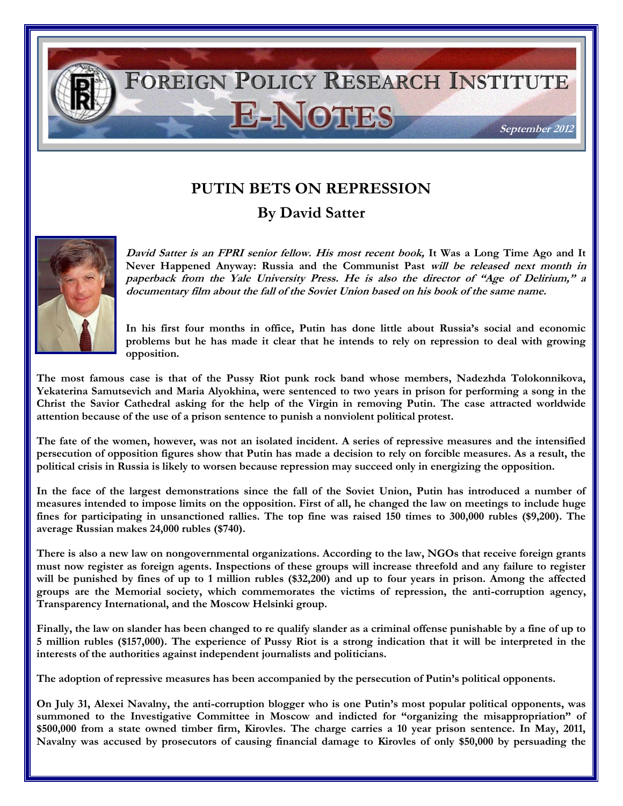## FOREIGN POLICY RESEARCH INSTITUTE **E-NOTES September 2012**

## **PUTIN BETS ON REPRESSION**

**By David Satter** 



**David Satter is an FPRI senior fellow. His most recent book, It Was a Long Time Ago and It Never Happened Anyway: Russia and the Communist Past will be released next month in paperback from the Yale University Press. He is also the director of "Age of Delirium," a documentary film about the fall of the Soviet Union based on his book of the same name.**

**In his first four months in office, Putin has done little about Russia's social and economic problems but he has made it clear that he intends to rely on repression to deal with growing opposition.** 

**The most famous case is that of the Pussy Riot punk rock band whose members, Nadezhda Tolokonnikova, Yekaterina Samutsevich and Maria Alyokhina, were sentenced to two years in prison for performing a song in the Christ the Savior Cathedral asking for the help of the Virgin in removing Putin. The case attracted worldwide attention because of the use of a prison sentence to punish a nonviolent political protest.**

**The fate of the women, however, was not an isolated incident. A series of repressive measures and the intensified persecution of opposition figures show that Putin has made a decision to rely on forcible measures. As a result, the political crisis in Russia is likely to worsen because repression may succeed only in energizing the opposition.** 

**In the face of the largest demonstrations since the fall of the Soviet Union, Putin has introduced a number of measures intended to impose limits on the opposition. First of all, he changed the law on meetings to include huge fines for participating in unsanctioned rallies. The top fine was raised 150 times to 300,000 rubles (\$9,200). The average Russian makes 24,000 rubles (\$740).** 

**There is also a new law on nongovernmental organizations. According to the law, NGOs that receive foreign grants must now register as foreign agents. Inspections of these groups will increase threefold and any failure to register**  will be punished by fines of up to 1 million rubles (\$32,200) and up to four years in prison. Among the affected **groups are the Memorial society, which commemorates the victims of repression, the anti-corruption agency, Transparency International, and the Moscow Helsinki group.** 

**Finally, the law on slander has been changed to re qualify slander as a criminal offense punishable by a fine of up to 5 million rubles (\$157,000). The experience of Pussy Riot is a strong indication that it will be interpreted in the interests of the authorities against independent journalists and politicians.** 

**The adoption of repressive measures has been accompanied by the persecution of Putin's political opponents.** 

**On July 31, Alexei Navalny, the anti-corruption blogger who is one Putin's most popular political opponents, was**  summoned to the Investigative Committee in Moscow and indicted for "organizing the misappropriation" of **\$500,000 from a state owned timber firm, Kirovles. The charge carries a 10 year prison sentence. In May, 2011, Navalny was accused by prosecutors of causing financial damage to Kirovles of only \$50,000 by persuading the**